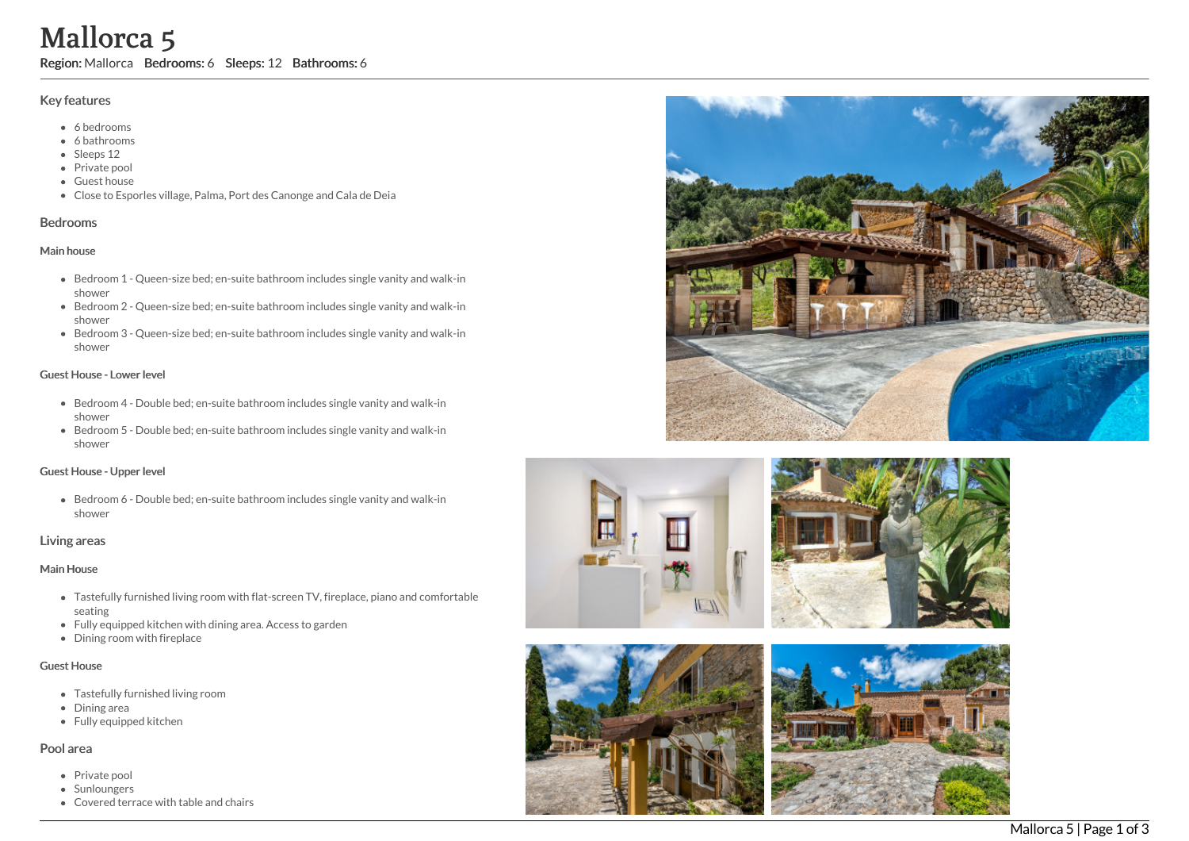# Mallorca 5

Region: Mallorca Bedrooms: 6 Sleeps: 12 Bathrooms: 6

## Key features

- 6 b e d r o o m s
- 6 bathrooms
- Sleeps 12
- Private pool
- Guest house
- Close to Esporles village, Palma, Port des Canonge and Cala de Deia

## **Bedrooms**

### M ain h o u s e

- Bedroom 1 Queen-size bed; en-suite bathroom includes single vanity and walk-in s h o w e r
- Bedroom 2 Queen-size bed; en-suite bathroom includes single vanity and walk-in s h o w e r
- Bedroom 3 Queen-size bed; en-suite bathroom includes single vanity and walk-in s h o w e r

## Guest House - Lower level

- Bedroom 4 Double bed; en-suite bathroom includes single vanity and walk-in s h o w e r
- Bedroom 5 Double bed; en-suite bathroom includes single vanity and walk-in s h o w e r

### Guest House - Upper level

Bedroom 6 - Double bed; en-suite bathroom includes single vanity and walk-in s h o w e r

## Living areas

### Main House

- Tastefully furnished living room with flat-screen TV, fireplace, piano and comfortable s e a tin g
- Fully equipped kitchen with dining area. Access to garden
- Dining room with fireplace

## Guest House

- Tastefully furnished living room
- Dining area
- Fully equipped kitchen

## Pool area

- Private pool
- Sunloungers
- Covered terrace with table and chairs









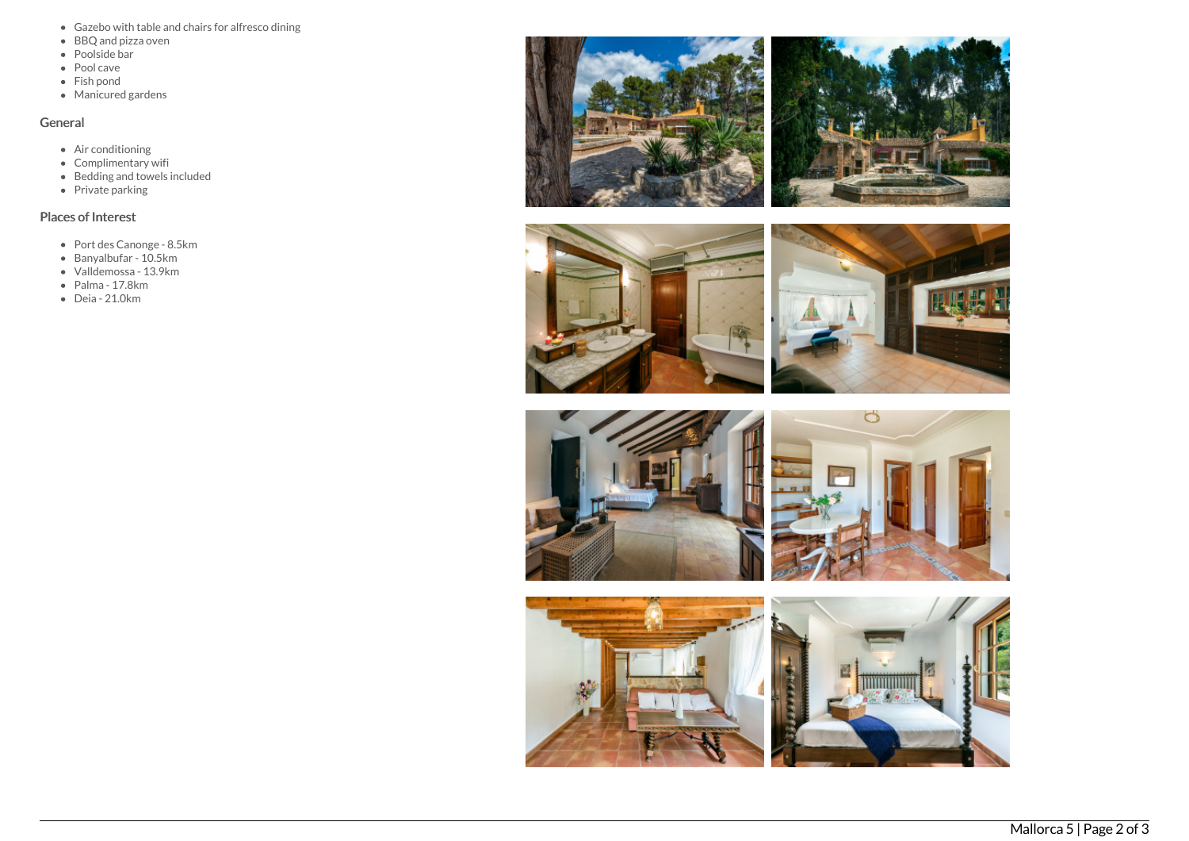- Gazebo with table and chairs for alfresco dining
- BBQ and pizza oven
- $\bullet$  Poolside bar
- Pool cave
- Fish pond
- Manicured gardens

# General

- Air conditioning
- Complimentary wifi
- Bedding and towels included
- Private parking

# Places of Interest

- Port des Canonge 8.5km
- Banyalbufar 10.5km
- Valldemossa 13.9km
- $\bullet$  Palma 17.8km
- Deia 21.0km